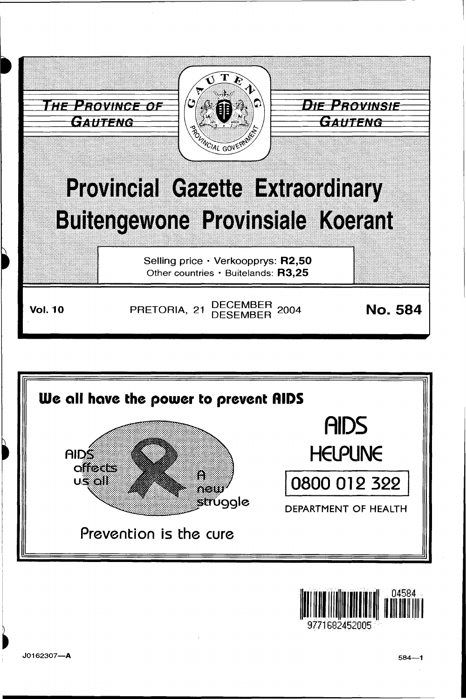





9771682452005

I

~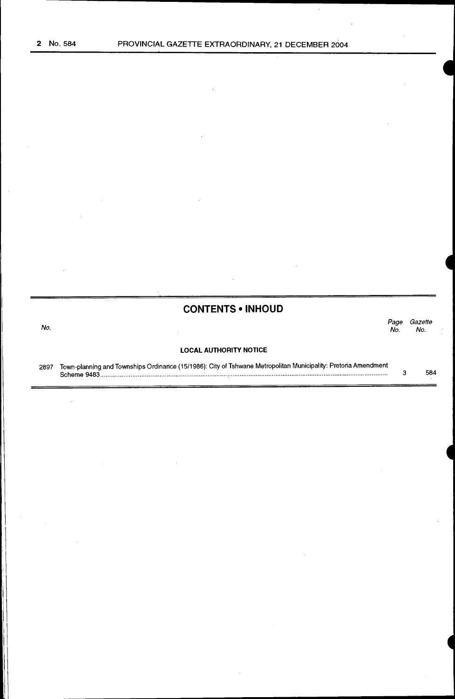## **CONTENTS • INHOUD**

No. *Page Gazette*  No. No.

## **LOCAL AUTHORITY NOTICE**

2897 Town-planning and Townships Ordinance (15/1986): City of Tshwane Metropolitan Municipality: Pretoria Amendment Scheme 9483 ................................................................................................................................................................. . 3 584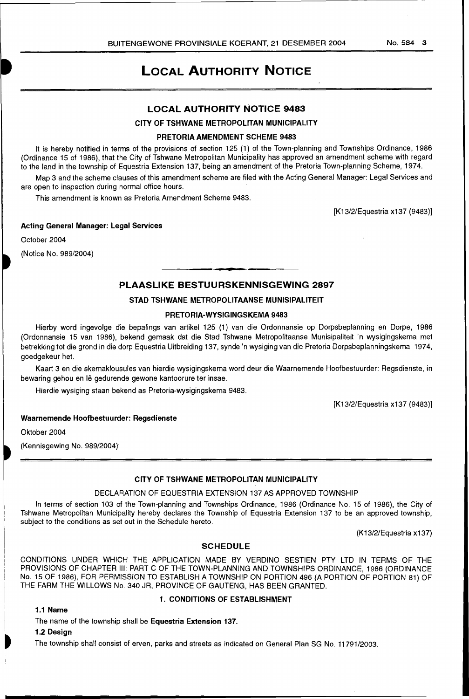## **LOCAL AUTHORITY NOTICE**

## **LOCAL AUTHORITY NOTICE 9483**

## **CITY OF TSHWANE METROPOLITAN MUNICIPALITY**

## **PRETORIA AMENDMENT SCHEME 9483**

It is hereby notified in terms of the provisions of section 125 (1) of the Town-planning and Townships Ordinance, 1986 (Ordinance 15 of 1986), that the City of Tshwane Metropolitan Municipality has approved an amendment scheme with regard to the land in the township of Equestria Extension 137, being an amendment of the Pretoria Town-planning Scheme, 1974.

Map 3 and the scheme clauses of this amendment scheme are filed with the Acting General Manager: Legal Services and are open to inspection during normal office hours.

This amendment is known as Pretoria Amendment Scheme 9483.

[K13/2/Equestria x137 (9483)]

## **Acting General Manager: Legal Services**

October 2004

(Notice No. 989/2004)

## **PLAASLIKE BESTUURSKENNISGEWING 2897**

## **STAD TSHWANE METROPOLITAANSE MUNISIPALITEIT**

## **PRETORIA-WYSIGINGSKEMA 9483**

Hierby word ingevolge die bepalings van artikel 125 (1) van die Ordonnansie op Dorpsbeplanning en Dorpe, 1986 (Ordonnansie 15 van 1986), bekend gemaak dat die Stad Tshwane Metropolitaanse Munisipaliteit 'n wysigingskema met betrekking tot die grond in die dorp Equestria Uitbreiding 137, synde 'n wysiging van die Pretoria Dorpsbeplanningskema, 1974, goedgekeur het.

Kaart 3 en die skemaklousules van hierdie wysigingskema word deur die Waarnemende Hoofbestuurder: Regsdienste, in bewaring gehou en lê gedurende gewone kantoorure ter insae.

Hierdie wysiging staan bekend as Pretoria-wysigingskema 9483.

[K13/2/Equestria x137 (9483)]

## **Waarnemende Hoofbestuurder: Regsdienste**

Oktober 2004

(Kennisgewing No. 989/2004)

## **CITY OF TSHWANE METROPOLITAN MUNICIPALITY**

## DECLARATION OF EQUESTRIA EXTENSION 137 AS APPROVED TOWNSHIP

In terms of section 103 of the Town-planning and Townships Ordinance, 1986 (Ordinance No. 15 of 1986), the City of Tshwane Metropolitan Municipality hereby declares the Township of Equestria Extension 137 to be an approved township, subject to the conditions as set out in the Schedule hereto.

(K13/2/Equestria x137)

## **SCHEDULE**

CONDITIONS UNDER WHICH THE APPLICATION MADE BY VERDINO SESTIEN PTY LTD IN TERMS OF THE PROVISIONS OF CHAPTER Ill: PART C OF THE TOWN-PLANNING AND TOWNSHIPS ORDINANCE, 1986 (ORDINANCE No. 15 OF 1986), FOR PERMISSION TO ESTABLISH A TOWNSHIP ON PORTION 496 (A PORTION OF PORTION 81) OF THE FARM THE WILLOWS No. 340 JR, PROVINCE OF GAUTENG, HAS BEEN GRANTED.

#### **1.1 Name**

## **1. CONDITIONS OF ESTABLISHMENT**

## The name of the township shall be **Equestria Extension 137.**

**1.2 Design** 

~

The township shall consist of erven, parks and streets as indicated on General Plan SG No. 11791/2003.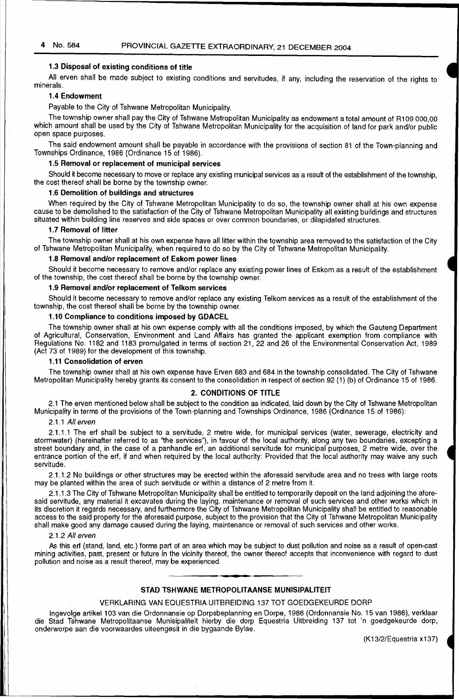## 1.3 Disposal of existing conditions of title

. All erven shall be made subject to existing conditions and servitudes, if any, including the reservation of the rights to minerals.

## 1.4 Endowment

Pavable to the City of Tshwane Metropolitan Municipality.

The township owner shall pay the City of Tshwane Metropolitan Municipality as endowment a total amount of R109 000,00 which amount shall be used by the City of Tshwane Metropolitan Municipality for the acquisition of land for park and/or public open space purposes.

The said endowment amount shall be payable in accordance with the provisions of section 81 of the Town-planning and Townships Ordinance, 1986 (Ordinance. 15 of 1986).

## 1.5 Removal or replacement of municipal services

Should it become necessary to move or replace any existing municipal services as a result of the establishment of the township, the cost thereof shall be borne by the township owner.

## 1.6 Demolition of buildings and structures

When required by the City of Tshwane Metropolitan Municipality to do so, the township owner shall at his own expense cause to be demolished to the satisfaction of the City of Tshwane Metropolitan Municipality all existing buildings and structures situated within building line reserves and side spaces or over common boundaries, or dilapidated structures.

### 1.7 Removal of litter

The township owner shall at his own expense have all litter within the township area removed to the satisfaction of the City of Tshwane Metropolitan Municipality, when required to do so by the City of Tshwane Metropolitan Municipality.

## 1.8 Removal and/or replacement of Eskom power lines

Should it become necessary to remove and/or replace any existing power lines of Eskom as a result of the establishment of the township, the cost thereof shall be borne by the township owner.

## 1.9 Removal and/or replacement of Telkom services

Should it become necessary to remove and/or replace any existing Telkom services as a result of the establishment of the township, the cost thereof shall be borne by the township owner.

## 1.10 Compliance to conditions imposed by GDACEL

The township owner shall at his own expense comply with all the conditions imposed, by which the Gauteng Department of Agricultural, Conservation, Environment and Land Affairs has granted the applicant exemption from compliance with Regulations No. 1182 and 1183 promulgated in terms of section 21, 22 and 26 of the Environmental Conservation Act, 1989 (Act 73 of 1989} for the development of this township.

#### 1.11 Consolidation of erven

The township owner shall at his owh expense have Erven 683 and 684 in the township consolidated. The City of Tshwane Metropolitan Municipality hereby grants its consent to the consolidation in respect of section 92 (1) (b) of Ordinance 15 of 1986.

### 2. CONDITIONS OF TITLE

2.1 The erven mentioned below shall be subject to the condition as indicated, laid down by the City of Tshwane Metropolitan Municipality in terms of the provisions of the Town-planning and Townships Ordinance, 1986 (Ordinance 15 of 1986):

#### 2.1.1 All erven

2.1.1.1 The erf shall be subject to a servitude, 2 metre wide, for municipal services (water, sewerage, electricity and stormwater) (hereinafter referred to as ''the services"), in favour of the local authority, along any two boundaries, excepting a street boundary and, in the case of a panhandle erf, an additional servitude for municipal purposes, 2 metre wide, over the entrance portion of the erf, if and when required by the local authority: Provided that the local authority may waive any such servitude.

2.1.1.2 No buildings or other structures may be erected within the aforesaid servitude area and no trees with large roots may be planted within the area of such servitude or within a distance of 2 metre from it.

2.1.1.3 The City of Tshwane Metropolitan Municipality shall be entitled to temporarily deposit on the land adjoining the aforesaid servitude, any material it excavates during the laying, maintenance or removal of such services and other works which in its discretion it regards necessary, and furthermore the City of Tshwane Metropolitan Municipality shall be entitled to reasonable access to the said property for the aforesaid purpose, subject to the provision that the City of Tshwane Metropolitan Municipality shall make good any damage caused during the laying, maintenance or removal of such services and other works.

#### 2.1.2 All erven

As this erf (stand, land, etc.) forms part of an area which may be subject to dust pollution and noise as a result of open-cast mining activities, past, present or future in the vicinity thereof, the owner thereof accepts that inconvenience wtth regard to dust pollution and noise as a result thereof, may be experienced.

## STAD TSHWANE METROPOLITAANSE MUNISIPALITEIT

#### VERKLARING VAN EQUESTRIA UITBREIDING 137 TOT GOEDGEKEURDE DORP

lngevolge artikel103 van die Ordonnansie op Dorpsbeplanning en Dorpe, 1986 (Ordonnansie No. 15 van 1986}, verklaar die Stad Tshwane Metropolitaanse Munisipaliteit hierby die dorp Equestria Uitbreiding 137 tot 'n goedgekeurde dorp, onderworpe aan die voorwaardes uiteengesit in die bygaande Bylae.

(K13/2/Equestria x137}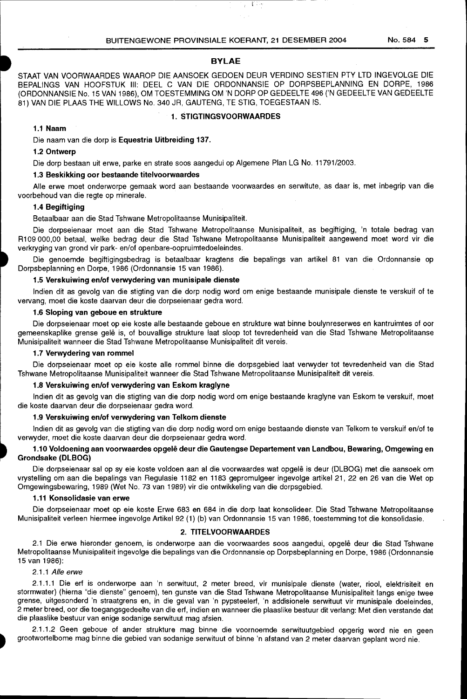$\mathcal{E}^{\text{C}}$  is a  $\bar{z}$ 

## **BYLAE**

STAAT VAN VOORWAARDES WAAROP DIE AANSOEK GEDOEN DEUR VERDINO SESTIEN PTY LTD INGEVOLGE DIE BEPALINGS VAN HOOFSTUK Ill: DEEL C VAN DIE ORDONNANSIE OP DORPSBEPLANNING EN DORPE, 1986 (ORDONNANSIE No. 15 VAN 1986), OM TOESTEMMING OM 'N DORP OP GEDEELTE 496 ('N GEDEELTE VAN GEDEELTE 81) VAN DIE PLAAS THE WILLOWS No. 340 JR, GAUTENG, TE STIG, TOEGESTAAN IS.

## **1. STIGTINGSVOORWAARDES**

## **1.1 Naam**

Die naam van die dorp is **Equestria Uitbreiding 137.** 

### **1.2 Ontwerp**

Die dorp bestaan uit erwe, parke en strata soos aangedui op Algemene Plan LG No. 11791/2003.

## **1.3 Beskikking oor bestaande titelvoorwaardes**

Aile erwe moet onderworpe gemaak word aan bestaande voorwaardes en serwitute, as daar is, met inbegrip van die voorbehoud van die regte op minerale.

## **1.4 Begiftiging**

## Betaalbaar aan die Stad Tshwane Metropolitaanse Munisipaliteit.

Die dorpseienaar moet aan die Stad Tshwane Metropolitaanse Munisipaliteit, as begiftiging, 'n totale bedrag van R1 09 000,00 betaal, welke bedrag deur die Stad Tshwane Metropolitaanse Munisipaliteit aangewend moet word vir die verkryging van grond vir park- en/of openbare-oopruimtedoeleindes.

Die genoemde begiftigingsbedrag is betaalbaar kragtens die bepalings van artikel 81 van die Ordonnansie op Dorpsbeplanning en Dorpe, 1986 (Ordonnansie 15 van 1986).

#### **1.5 Verskuiwing en/of verwydering van munisipale dienste**

Indian dit as gevolg van die stigting van die dorp nodig word om enige bestaande munisipale dienste te verskuif of te vervang, moet die koste daarvan deur die dorpseienaar gedra word.

#### **1.6 Sloping van geboue en strukture**

Die dorpseienaar moet op eie koste aile bestaande geboue en strukture wat binne boulynreserwes en kantruimtes of oor gemeenskaplike grense gelê is, of bouvallige strukture laat sloop tot tevredenheid van die Stad Tshwane Metropolitaanse Munisipaliteit wanneer die Stad Tshwane Metropolitaanse Munisipaliteit dit vereis.

## **1.7 Verwydering van rommel**

Die dorpseienaar moet op eie koste aile rommel binne die dorpsgebied laat verwyder tot tevredenheid van die Stad Tshwane Metropolitaanse Munisipaliteit wanneer die Stad Tshwane Metropolitaanse Munisipaliteit dit vereis.

### **1.8 Verskuiwing en/of verwydering van Eskom kraglyne**

Indian dit as gevolg van die stigting van die dorp nodig word om enige bestaande kraglyne van Eskom te verskuif, moet die koste daarvan deur die dorpseienaar gedra word.

#### **1.9 Verskuiwing en/of verwydering van Telkom dienste**

Indien dit as gevolg van die stigting van die dorp nodig word om enige bestaande dienste van Telkom te verskuif en/of te verwyder, moet die koste daarvan deur die dorpseienaar gedra word.

## **1.10 Voldoening aan voorwaardes opgele deur die Gautengse Departement van Landbou, Bewaring, Omgewing en Grondsake (DLBOG)**

Die dorpseienaar salop sy eie koste voldoen aan al die voorwaardes wat opgele is deur (DLBOG) met die aansoek om vrystelling om aan die bepalings van Regulasie 1182 en 1183 gepromulgeer ingevolge artikel 21, 22 en 26 van die Wet op Omgewingsbewaring, 1989 (Wet No. 73 van 1989) vir die ontwikkeling van die dorpsgebied.

## **1.11 Konsolidasie van erwe**

Die dorpseienaar moet op eie koste Erwe 683 en 684 in die dorp laat konsolideer. Die Stad Tshwane Metropolitaanse Munisipaliteit verleen hiermee ingevolge Artikel 92 (1) (b) van Ordonnansie 15 van 1986, toestemming tot die konsolidasie.

#### **2. TITELVOORWAARDES**

2.1 Die erwe hieronder genoem, is onderworpe aan die voorwaardes soos aangedui, opgele deur die Stad Tshwane Metropolitaanse Munisipaliteit ingevolge die bepalings van die Ordonnansie op Dorpsbeplanning en Dorpe, 1986 (Ordonnansie 15 van 1986):

### 2.1.1 Aile erwe

2.1.1.1 Die erf is onderworpe aan 'n serwituut, 2 meter breed, vir munisipale dienste (water, riool, elektrisiteit en stormwater) (hierna "die dienste" genoem), ten gunste van die Stad Tshwane Metropolitaanse Munisipaliteit langs enige twee grense, uitgesonderd 'n straatgrens en, in die geval van 'n pypsteelerf, 'n addisionele serwituut vir munisipale doeleindes, 2 meter breed, oor die toegangsgedeelte van die erf, indien en wanneer die plaaslike bestuur dit verlang: Met dien verstande dat die plaaslike bestuur van enige sodanige serwituut mag afsien.

2.1.1.2 Geen geboue of ander strukture mag binne die voornoemde serwituutgebied opgerig word nie en geen grootwortelbome mag binne die gebied van sodanige serwituut of binne 'n afstand van 2 meter daarvan geplant word nie.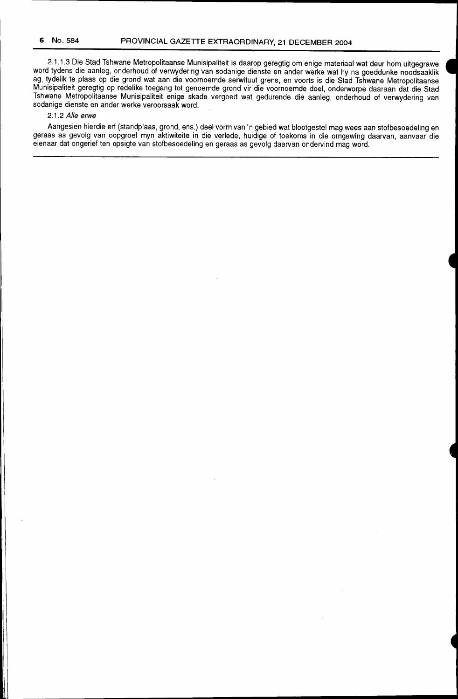2.1.1.3 Die Stad Tshwane Metropolitaanse Munisipaliteit is daarop geregtig om enige materiaal wat deur hom uitgegrawe word tydens die aanleg, onderhoud of verwydering van sodanige dienste en ander werke wat hy na goeddunke noodsaaklik ag, tydelik te plaas op die grond wat aan die voornoemde serwituut grens, en voorts is die Stad Tshwane Metropolitaanse Munisipaliteit geregtig op redelike toegang tot genoemde grond vir die voornoemde doel, onderworpe daaraan dat die Stad Tshwane Metropolitaanse Munisipaliteit enige skade vergoed wat gedurende die aanleg, onderhoud of verwydering van sodanige dienste en ander werke veroorsaak word.

## 2.1.2 Aile erwe

Aangesien hierdie erf (standplaas, grond, ens.) deel vorm van 'n gebied wat blootgestel mag wees aan stofbesoedeling en geraas as gevolg van oopgroef myn aktiwiteite in die verlede, huidige of toekoms in die omgewing daarvan, aanvaar die eienaar dat ongerief ten opsigte van stofbesoedeling en geraas as gevolg daarvan ondervind mag word.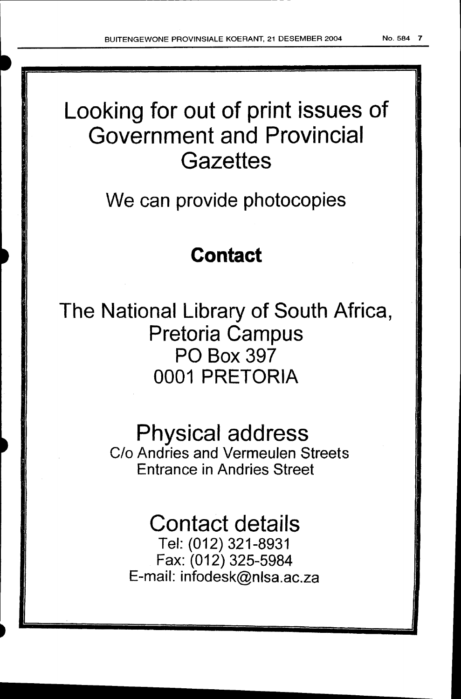# Looking for out of print issues of Government and Provincial **Gazettes**

## We can provide photocopies

## **Contact**

The National Library of South Africa, Pretoria Campus PO Box 397 0001 PRETORIA

## Physical address

C/o Andries and Vermeulen Streets Entrance in Andries Street

## Contact details

Tel: (012) 321-8931 Fax: (012) 325-5984 E-mail: infodesk@nlsa.ac.za